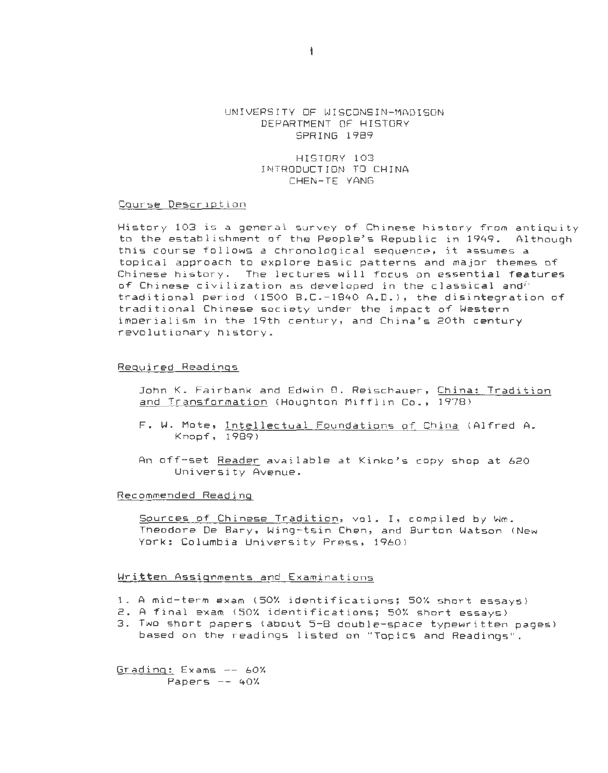## UNIVERSITY OF WISCONSIN-MADISON DEPARTMENT OF HISTORY SPRING 1989

HISTORY 103 INTRODUCTION TO CHINA CHEN-TE YANG

#### Course Description

History 103 is a general survey of Chinese history from antiquity to the establishment of the People's Republic in 1949. Although this course follows a chronological sequence, it assumes a topical approach to explore basic patterns and major themes of Chinese history. The lectures will focus on essential features of Chinese civilization as developed in the classical and'' traditional period (1500 B.C.-1840 A.D.), the disintegration of traditional Chinese society under the impact of Western imperialism in the 19th century, and China's 20th century revolutionary history.

### Required Readings

John K. Fairbank and Edwin D. Reischauer, China: Tradition and Transformation (Houghton Mifflin Co., 1978)

- F. W. Mote, Intellectual Foundations of China (Alfred A. Knopf, 1989 >
- An off-set Reader available at Kinko's copy shop at 620 University Avenue.

#### Recommended Reading

Sources of Chinese Tradition, val . I, compiled by Wm. Theodore De Bary, Wing-tsin Chen, and Burton Watson <New York: Columbia University Press, 1960)

## Written Assignments and Examinations

- 1. A mid-term exam <SOX identifications; SOX short essays>
- 2. A final exam (50% identifications; 50% short essays)
- 3. Two short papers (about 5-8 double-space typewritten pages) based on the readings listed on "Topics and Readings".

Grading: Exams -- 60X Papers  $--$  40%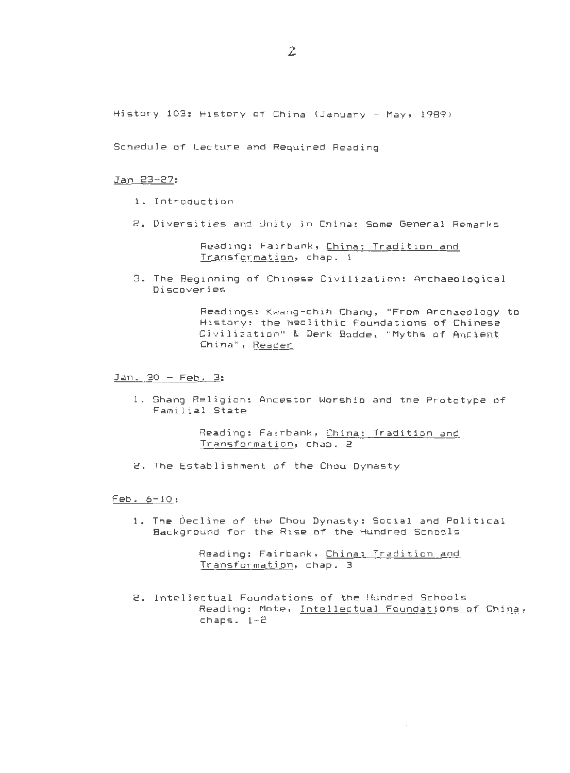History 103: History of China (January - May, 1989)

Schedule of Lecture and Required Reading

#### Jan 23-27:

- 1. Introduction
- 2. Diversities and Unity in China: Some General Remarks

Reading: Fairbank, China: Tradition and Transformation, chap. 1

3. The Beginning of Chinese Civilization: Archaeological Discoveries

> Readings: Kwang-chih Chang, "From Archaeology to History: the Neolithic Foundations of Chinese Civilization" & Derk Bodde, "Myths of Angient China", Reader

Jan. 30 - Feb. 3:

1. Shang Religion: Ancestor Worship and the Prototype of Familial State

> Reading: Fairbank, China: Tradition and Transformation, chap. 2

2. The Establishment of the Chou Dynasty

 $Feb. 6-10:$ 

<sup>1</sup> . The Decline of the Chou Dynasty : Social and Political Background for the Rise of the Hundred Schools

> Reading: Fairbank, China: Tradition and Transformation, chap. 3

2. Intellectual Foundations of the Hundred Schools Reading: Mote, Intellectual Foundations of China,  $chaps. 1-2$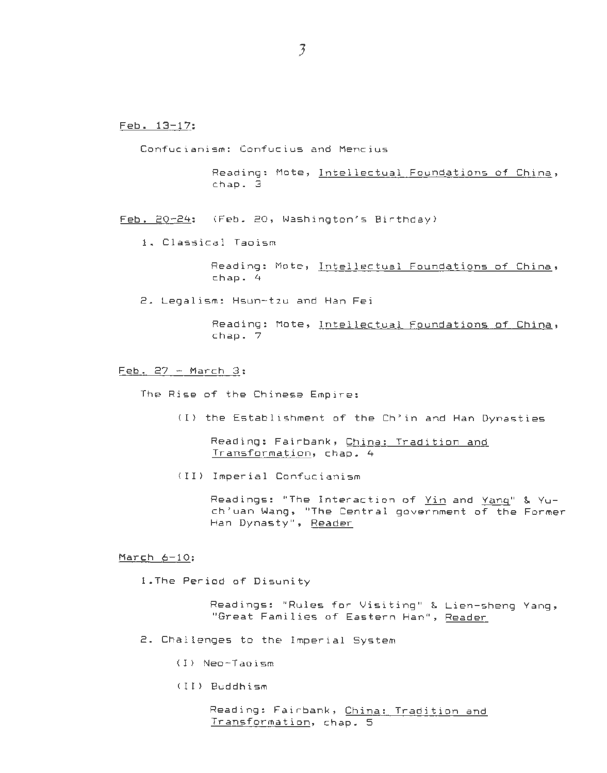Feb. 13-17:

Confucianism: Confucius and Mencius

Reading: Mote, Intellectual Foundations of China, chap . 3

<u>Feb. 20-24</u>: (Feb. 20, Washington's Birthday)

1. Classical Taoism

Reading: Mote, Intellectual Foundations of China, chap. 4

2. Legalism: Hsun-tzu and Han Fei

Reading: Mote, Intellectual Foundations of China, chap. 7

Feb. 27 - March 3:

The Rise of the Chinese Empire:

(I) the Establishment of the Ch'in and Han Dynasties

Reading: Fairbank, China: Tradition and Transformation, chap. 4

<II> Imperial Confucianism

Readings: "The Interaction of Yin and Yang" & Yuch'uan Wang, "The Central government of the Former Han Dynasty", Reader

March 6-10:

l.The Period of Disunity

Readings: "Rules for Visiting" & Lien-sheng Yang, "Great Families of Eastern Han", Reader

2. Challenges to the Imperial System

<I> Neo-Taoism

<II> Buddhism

Reading: Fairbank, China: Tradition and Transformation, chap. 5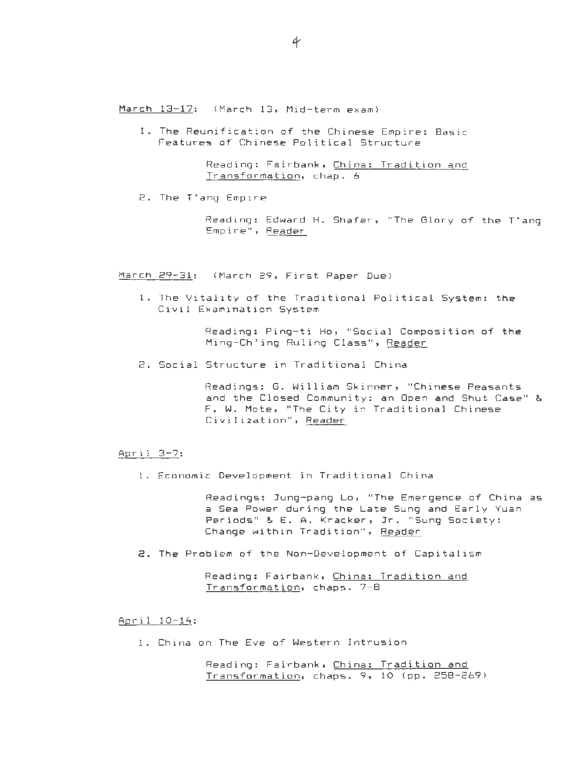1. The Reunification of the Chinese Empire: Basic Features of Chinese Political Structure

> Reading: Fairbank, China: Tradition and Transformation, chap . 6

2. The T'ang Empire

Reading: Edward H. Shafer, "The Glory of the T'ang Empire", Reader

March 29-31: (March 29, First Paper Due)

1. The Vitality of the Traditional Political System: the Civil Examination System

> Reading: Ping-ti Ho, "Social Composition of the Ming-Ch' ing Ruling Class", Reader

<sup>2</sup> . Social Structure in Traditional China

Readings: G. William Skinner, "Chinese Peasants and the Closed Community: an Open and Shut Case" & F. W. Mote, "The City in Traditional Chinese Civilization", Reader

### April 3-7:

1 . Economic Development in Traditional China

Readings: Jung-pang Lo, "The Emergence of China as a Sea Power during the Late Sung and Early Yuan Periods" & E. A. Kracker , Jr . "Sung Society : Change within Tradition", Reader

2. The Problem of the Non-Development of Capitalism

Reading: Fairbank, China: Tradition and Transformation, chaps. 7-8

# April 10-14:

<sup>1</sup> . China on The Eve of Western Intrusion

Reading: Fairbank, China: Tradition and  $Transformation, chaps. 9, 10 (pp. 258-269)$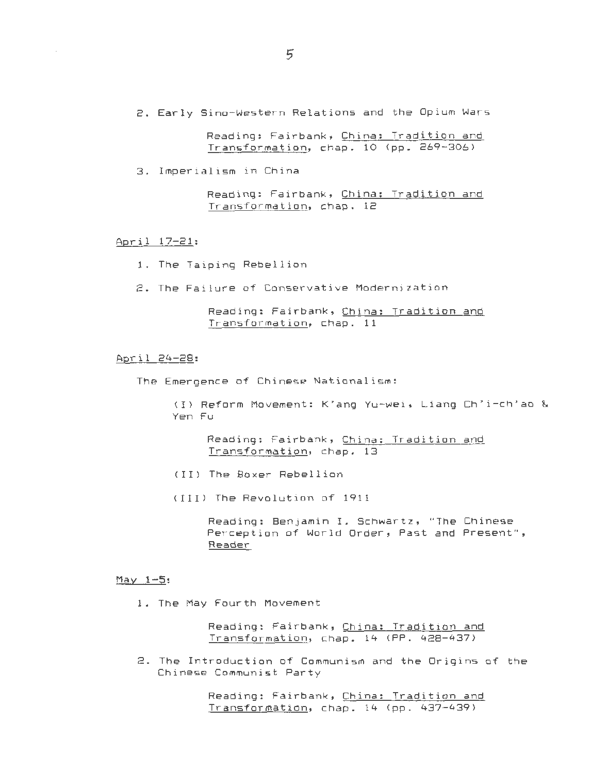2. Early Sino-Western Relations and the Opium Wars

Reading: Fairbank, China: Tradition and Transformation, chap. 10 (pp. 269-306)

3. Imperialism in China

Reading: Fairbank, China: Tradition and Transformation, chap. 12

April 17-21:

 $\epsilon$ 

1. The Taiping Rebellion

2. The Failure of Conservative Modernization

Reading: Fairbank, China: Tradition and Transformation, chap. 11

# April 24-28:

The Emergence of Chinese Nationalism :

<I> Reform Movement : K'ang Yu-wei , Liang Ch'i-ch'ao & Yen Fu

Reading: Fairbank, China: Tradition and Transformation, chap. 13

(II) The Boxer Rebellion

(III) The Revolution of 1911

Reading: Benjamin I. Schwartz, "The Chinese Perception of World Order, Past and Present" , Reader

### $May 1-5:$

1. The May Fourth Movement

Reading: Fairbank, China: Tradition and Transformation, chap. 14 (PP. 428-437)

<sup>2</sup> . The Introduction of Communism and the Origins of the Chinese Communist Party

> Reading: Fairbank, China: Tradition and Transformation, chap. 14 (pp. 437-439)